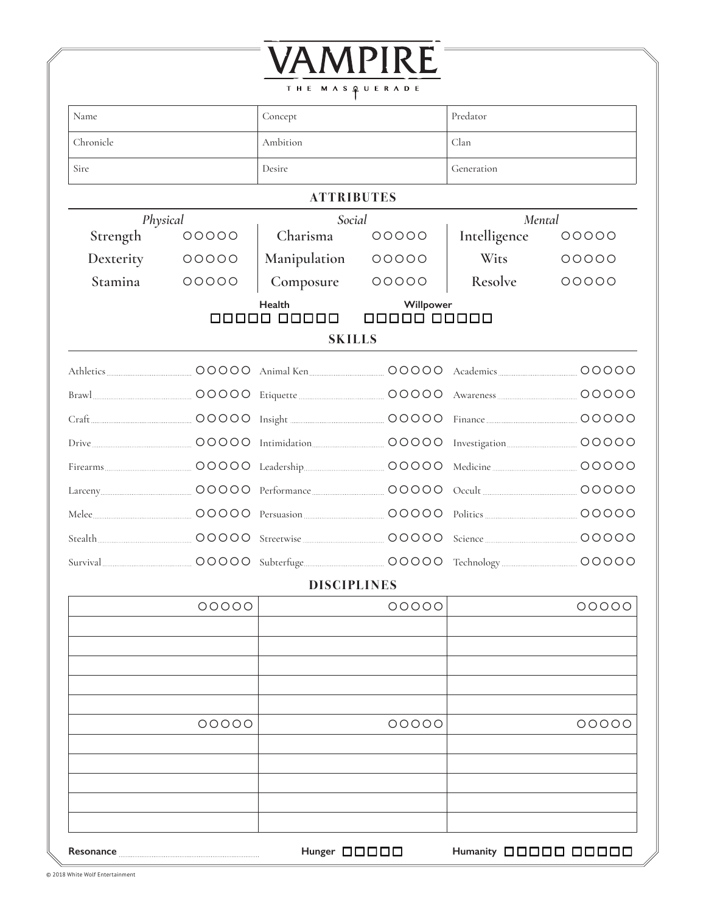|                |                                                   | THE MASQUERADE     | VAMPIRE |              |            |  |
|----------------|---------------------------------------------------|--------------------|---------|--------------|------------|--|
| Name           |                                                   | Concept            |         | Predator     |            |  |
| Chronicle      |                                                   | Ambition           |         | Clan         |            |  |
| Sire<br>Desire |                                                   |                    |         |              | Generation |  |
|                |                                                   | <b>ATTRIBUTES</b>  |         |              |            |  |
|                | Social<br>Physical                                |                    | Mental  |              |            |  |
| Strength       | 00000                                             | Charisma           | 00000   | Intelligence | 00000      |  |
| Dexterity      | 00000                                             | Manipulation       | 00000   | Wits         | 00000      |  |
| Stamina        | 00000                                             | Composure          | 00000   | Resolve      | 00000      |  |
|                | Health<br>Willpower<br>00000 00000<br>00000 00000 |                    |         |              |            |  |
|                |                                                   | <b>SKILLS</b>      |         |              |            |  |
|                |                                                   |                    |         |              |            |  |
|                |                                                   |                    |         |              |            |  |
|                |                                                   |                    |         |              | 00000      |  |
|                |                                                   |                    |         |              |            |  |
|                |                                                   |                    |         |              |            |  |
|                |                                                   |                    |         |              |            |  |
|                |                                                   |                    |         |              | 00000      |  |
|                |                                                   |                    |         |              | 00000      |  |
|                |                                                   |                    |         |              |            |  |
|                |                                                   |                    |         |              |            |  |
|                |                                                   | <b>DISCIPLINES</b> |         |              |            |  |
|                | 00000                                             |                    | 00000   |              | 00000      |  |
|                |                                                   |                    |         |              |            |  |
|                |                                                   |                    |         |              |            |  |
|                |                                                   |                    |         |              |            |  |
|                |                                                   |                    |         |              |            |  |
|                | 00000                                             |                    | 00000   |              | 00000      |  |
|                |                                                   |                    |         |              |            |  |
|                |                                                   |                    |         |              |            |  |
|                |                                                   |                    |         |              |            |  |
|                |                                                   |                    |         |              |            |  |